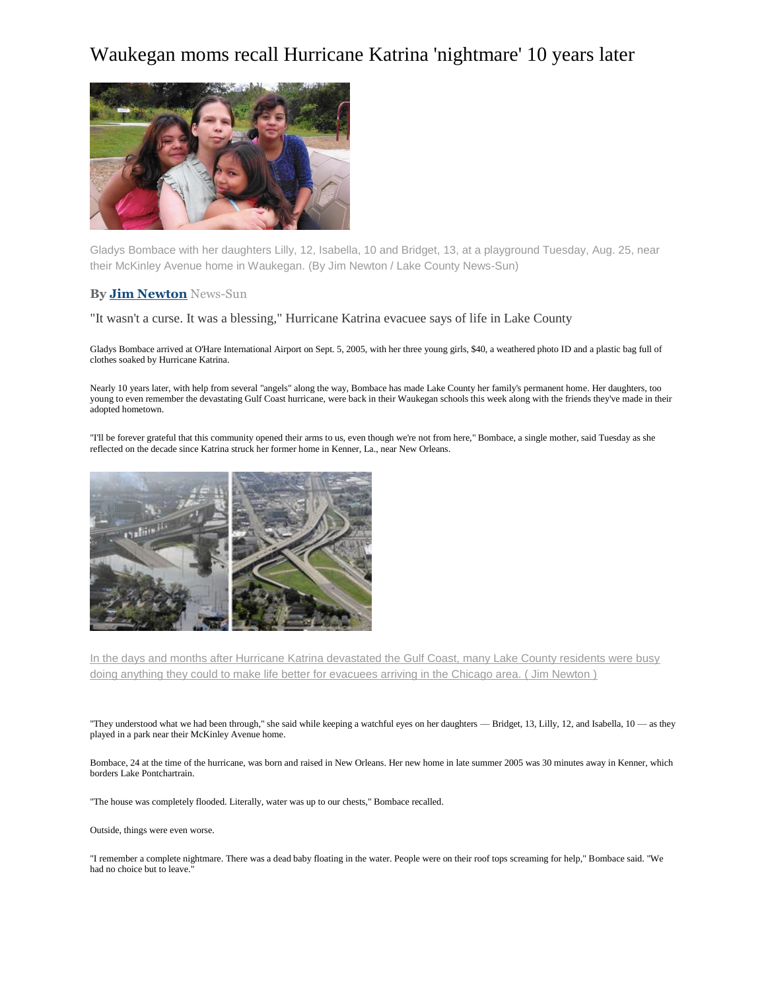## Waukegan moms recall Hurricane Katrina 'nightmare' 10 years later



Gladys Bombace with her daughters Lilly, 12, Isabella, 10 and Bridget, 13, at a playground Tuesday, Aug. 25, near their McKinley Avenue home in Waukegan. (By Jim Newton / Lake County News-Sun)

## **B[y Jim Newton](http://www.chicagotribune.com/chi-jim-newton-staff.html#navtype=byline)** News-Sun

"It wasn't a curse. It was a blessing," Hurricane Katrina evacuee says of life in Lake County

Gladys Bombace arrived at O'Hare International Airport on Sept. 5, 2005, with her three young girls, \$40, a weathered photo ID and a plastic bag full of clothes soaked by Hurricane Katrina.

Nearly 10 years later, with help from several "angels" along the way, Bombace has made Lake County her family's permanent home. Her daughters, too young to even remember the devastating Gulf Coast hurricane, were back in their Waukegan schools this week along with the friends they've made in their adopted hometown.

"I'll be forever grateful that this community opened their arms to us, even though we're not from here," Bombace, a single mother, said Tuesday as she reflected on the decade since Katrina struck her former home in Kenner, La., near New Orleans.



In the days and months after Hurricane Katrina devastated the Gulf Coast, many Lake County residents were busy doing anything they could to make life better for evacuees arriving in the Chicago area. (Jim Newton)

"They understood what we had been through," she said while keeping a watchful eyes on her daughters — Bridget, 13, Lilly, 12, and Isabella, 10 — as they played in a park near their McKinley Avenue home.

Bombace, 24 at the time of the hurricane, was born and raised in New Orleans. Her new home in late summer 2005 was 30 minutes away in Kenner, which borders Lake Pontchartrain.

"The house was completely flooded. Literally, water was up to our chests," Bombace recalled.

Outside, things were even worse.

"I remember a complete nightmare. There was a dead baby floating in the water. People were on their roof tops screaming for help," Bombace said. "We had no choice but to leave."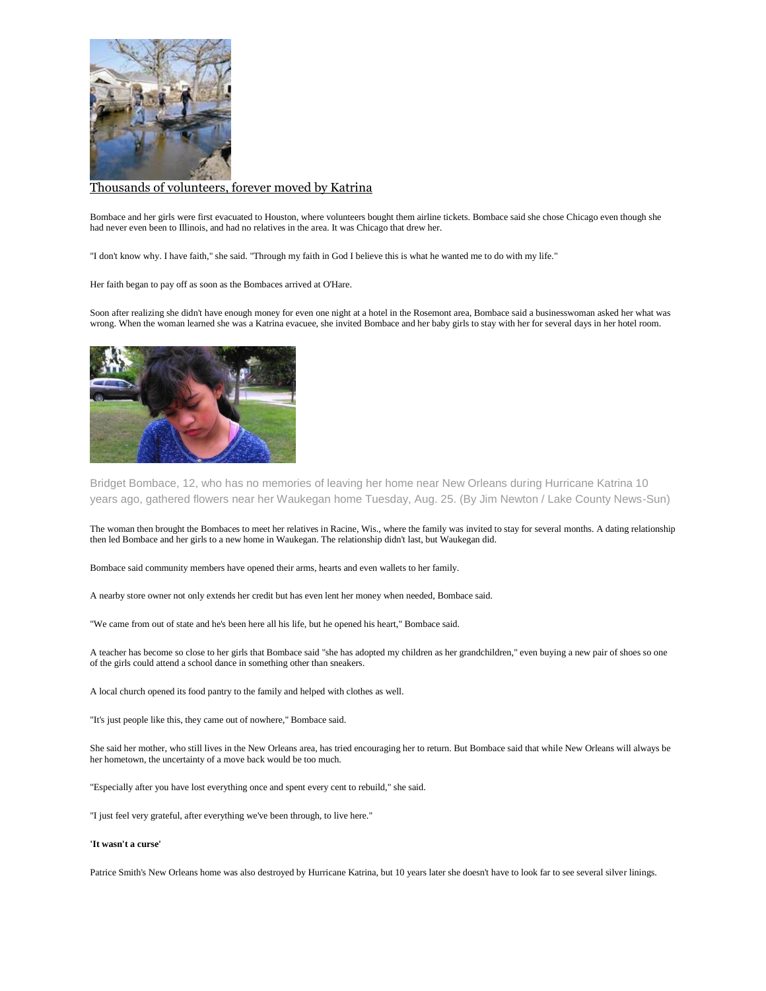

## [Thousands of volunteers, forever moved by Katrina](http://www.chicagotribune.com/news/opinion/commentary/ct-hurricane-katrina-peace-corps-volunteers-perspec-0828-jm-20150826-story.html)

Bombace and her girls were first evacuated to Houston, where volunteers bought them airline tickets. Bombace said she chose Chicago even though she had never even been to Illinois, and had no relatives in the area. It was Chicago that drew her.

"I don't know why. I have faith," she said. "Through my faith in God I believe this is what he wanted me to do with my life."

Her faith began to pay off as soon as the Bombaces arrived at O'Hare.

Soon after realizing she didn't have enough money for even one night at a hotel in the Rosemont area, Bombace said a businesswoman asked her what was wrong. When the woman learned she was a Katrina evacuee, she invited Bombace and her baby girls to stay with her for several days in her hotel room.



Bridget Bombace, 12, who has no memories of leaving her home near New Orleans during Hurricane Katrina 10 years ago, gathered flowers near her Waukegan home Tuesday, Aug. 25. (By Jim Newton / Lake County News-Sun)

The woman then brought the Bombaces to meet her relatives in Racine, Wis., where the family was invited to stay for several months. A dating relationship then led Bombace and her girls to a new home in Waukegan. The relationship didn't last, but Waukegan did.

Bombace said community members have opened their arms, hearts and even wallets to her family.

A nearby store owner not only extends her credit but has even lent her money when needed, Bombace said.

"We came from out of state and he's been here all his life, but he opened his heart," Bombace said.

A teacher has become so close to her girls that Bombace said "she has adopted my children as her grandchildren," even buying a new pair of shoes so one of the girls could attend a school dance in something other than sneakers.

A local church opened its food pantry to the family and helped with clothes as well.

"It's just people like this, they came out of nowhere," Bombace said.

She said her mother, who still lives in the New Orleans area, has tried encouraging her to return. But Bombace said that while New Orleans will always be her hometown, the uncertainty of a move back would be too much.

"Especially after you have lost everything once and spent every cent to rebuild," she said.

"I just feel very grateful, after everything we've been through, to live here."

## **'It wasn't a curse'**

Patrice Smith's New Orleans home was also destroyed by Hurricane Katrina, but 10 years later she doesn't have to look far to see several silver linings.